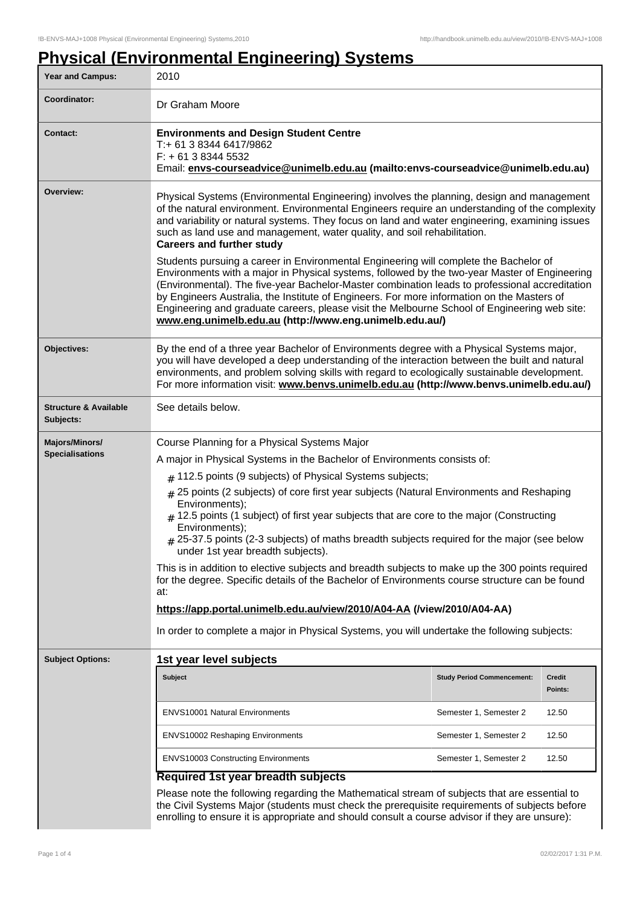# **Physical (Environmental Engineering) Systems**

| Year and Campus:                                                                                                                                                                                                                                                                                 | 2010                                                                                                                                                                                                                                                                                                                                                                                                                                                                                                   |                                   |                   |
|--------------------------------------------------------------------------------------------------------------------------------------------------------------------------------------------------------------------------------------------------------------------------------------------------|--------------------------------------------------------------------------------------------------------------------------------------------------------------------------------------------------------------------------------------------------------------------------------------------------------------------------------------------------------------------------------------------------------------------------------------------------------------------------------------------------------|-----------------------------------|-------------------|
| Coordinator:                                                                                                                                                                                                                                                                                     | Dr Graham Moore                                                                                                                                                                                                                                                                                                                                                                                                                                                                                        |                                   |                   |
| <b>Contact:</b>                                                                                                                                                                                                                                                                                  | <b>Environments and Design Student Centre</b><br>T:+ 61 3 8344 6417/9862<br>$F: +61383445532$<br>Email: envs-courseadvice@unimelb.edu.au (mailto:envs-courseadvice@unimelb.edu.au)                                                                                                                                                                                                                                                                                                                     |                                   |                   |
| Overview:                                                                                                                                                                                                                                                                                        | Physical Systems (Environmental Engineering) involves the planning, design and management<br>of the natural environment. Environmental Engineers require an understanding of the complexity<br>and variability or natural systems. They focus on land and water engineering, examining issues<br>such as land use and management, water quality, and soil rehabilitation.<br><b>Careers and further study</b><br>Students pursuing a career in Environmental Engineering will complete the Bachelor of |                                   |                   |
|                                                                                                                                                                                                                                                                                                  | Environments with a major in Physical systems, followed by the two-year Master of Engineering<br>(Environmental). The five-year Bachelor-Master combination leads to professional accreditation<br>by Engineers Australia, the Institute of Engineers. For more information on the Masters of<br>Engineering and graduate careers, please visit the Melbourne School of Engineering web site:<br>www.eng.unimelb.edu.au (http://www.eng.unimelb.edu.au/)                                               |                                   |                   |
| Objectives:                                                                                                                                                                                                                                                                                      | By the end of a three year Bachelor of Environments degree with a Physical Systems major,<br>you will have developed a deep understanding of the interaction between the built and natural<br>environments, and problem solving skills with regard to ecologically sustainable development.<br>For more information visit: www.benvs.unimelb.edu.au (http://www.benvs.unimelb.edu.au/)                                                                                                                 |                                   |                   |
| <b>Structure &amp; Available</b><br>Subjects:                                                                                                                                                                                                                                                    | See details below.                                                                                                                                                                                                                                                                                                                                                                                                                                                                                     |                                   |                   |
| Majors/Minors/                                                                                                                                                                                                                                                                                   | Course Planning for a Physical Systems Major                                                                                                                                                                                                                                                                                                                                                                                                                                                           |                                   |                   |
| <b>Specialisations</b>                                                                                                                                                                                                                                                                           | A major in Physical Systems in the Bachelor of Environments consists of:                                                                                                                                                                                                                                                                                                                                                                                                                               |                                   |                   |
|                                                                                                                                                                                                                                                                                                  | $#$ 112.5 points (9 subjects) of Physical Systems subjects;                                                                                                                                                                                                                                                                                                                                                                                                                                            |                                   |                   |
|                                                                                                                                                                                                                                                                                                  | $#$ 25 points (2 subjects) of core first year subjects (Natural Environments and Reshaping<br>Environments);<br>$#$ 12.5 points (1 subject) of first year subjects that are core to the major (Constructing<br>Environments);<br># 25-37.5 points (2-3 subjects) of maths breadth subjects required for the major (see below<br>under 1st year breadth subjects).                                                                                                                                      |                                   |                   |
|                                                                                                                                                                                                                                                                                                  | This is in addition to elective subjects and breadth subjects to make up the 300 points required<br>for the degree. Specific details of the Bachelor of Environments course structure can be found<br>at:                                                                                                                                                                                                                                                                                              |                                   |                   |
|                                                                                                                                                                                                                                                                                                  | https://app.portal.unimelb.edu.au/view/2010/A04-AA (/view/2010/A04-AA)                                                                                                                                                                                                                                                                                                                                                                                                                                 |                                   |                   |
|                                                                                                                                                                                                                                                                                                  | In order to complete a major in Physical Systems, you will undertake the following subjects:                                                                                                                                                                                                                                                                                                                                                                                                           |                                   |                   |
| <b>Subject Options:</b>                                                                                                                                                                                                                                                                          | 1st year level subjects                                                                                                                                                                                                                                                                                                                                                                                                                                                                                |                                   |                   |
|                                                                                                                                                                                                                                                                                                  | Subject                                                                                                                                                                                                                                                                                                                                                                                                                                                                                                | <b>Study Period Commencement:</b> | Credit<br>Points: |
|                                                                                                                                                                                                                                                                                                  | <b>ENVS10001 Natural Environments</b>                                                                                                                                                                                                                                                                                                                                                                                                                                                                  | Semester 1, Semester 2            | 12.50             |
|                                                                                                                                                                                                                                                                                                  | <b>ENVS10002 Reshaping Environments</b>                                                                                                                                                                                                                                                                                                                                                                                                                                                                | Semester 1, Semester 2            | 12.50             |
|                                                                                                                                                                                                                                                                                                  | <b>ENVS10003 Constructing Environments</b>                                                                                                                                                                                                                                                                                                                                                                                                                                                             | Semester 1, Semester 2            | 12.50             |
|                                                                                                                                                                                                                                                                                                  | <b>Required 1st year breadth subjects</b>                                                                                                                                                                                                                                                                                                                                                                                                                                                              |                                   |                   |
| Please note the following regarding the Mathematical stream of subjects that are essential to<br>the Civil Systems Major (students must check the prerequisite requirements of subjects before<br>enrolling to ensure it is appropriate and should consult a course advisor if they are unsure): |                                                                                                                                                                                                                                                                                                                                                                                                                                                                                                        |                                   |                   |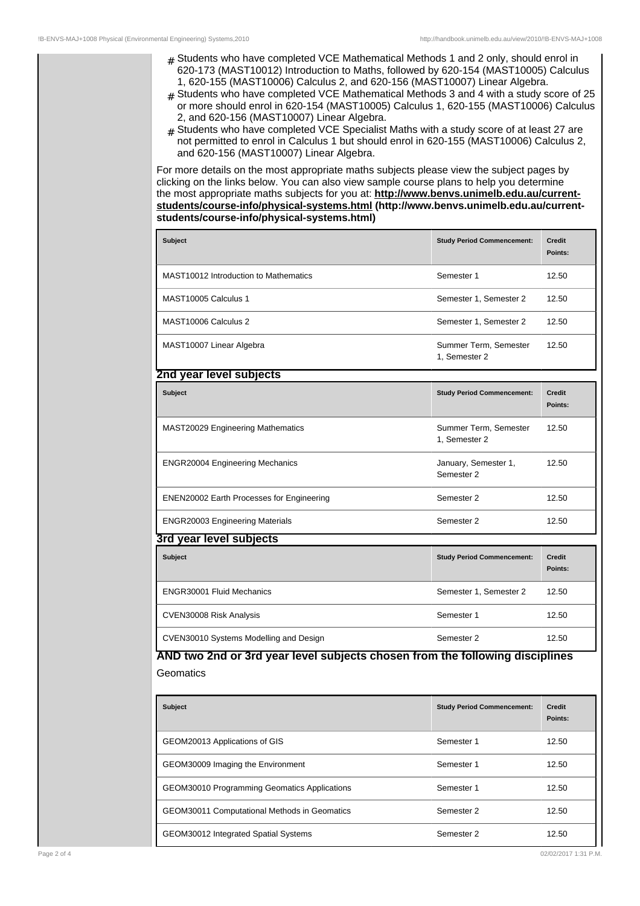- # Students who have completed VCE Mathematical Methods 1 and 2 only, should enrol in 620-173 (MAST10012) Introduction to Maths, followed by 620-154 (MAST10005) Calculus 1, 620-155 (MAST10006) Calculus 2, and 620-156 (MAST10007) Linear Algebra.
- $#$  Students who have completed VCE Mathematical Methods 3 and 4 with a study score of 25 or more should enrol in 620-154 (MAST10005) Calculus 1, 620-155 (MAST10006) Calculus 2, and 620-156 (MAST10007) Linear Algebra.
- $#$  Students who have completed VCE Specialist Maths with a study score of at least 27 are not permitted to enrol in Calculus 1 but should enrol in 620-155 (MAST10006) Calculus 2, and 620-156 (MAST10007) Linear Algebra.

For more details on the most appropriate maths subjects please view the subject pages by clicking on the links below. You can also view sample course plans to help you determine the most appropriate maths subjects for you at: **http://www.benvs.unimelb.edu.au/currentstudents/course-info/physical-systems.html (http://www.benvs.unimelb.edu.au/currentstudents/course-info/physical-systems.html)**

| <b>Subject</b>                        | <b>Study Period Commencement:</b>      | <b>Credit</b><br>Points: |
|---------------------------------------|----------------------------------------|--------------------------|
| MAST10012 Introduction to Mathematics | Semester 1                             | 12.50                    |
| MAST10005 Calculus 1                  | Semester 1, Semester 2                 | 12.50                    |
| MAST10006 Calculus 2                  | Semester 1, Semester 2                 | 12.50                    |
| MAST10007 Linear Algebra              | Summer Term, Semester<br>1, Semester 2 | 12.50                    |

| 2nd year level subjects                          |                                        |                          |  |
|--------------------------------------------------|----------------------------------------|--------------------------|--|
| <b>Subject</b>                                   | <b>Study Period Commencement:</b>      | <b>Credit</b><br>Points: |  |
| <b>MAST20029 Engineering Mathematics</b>         | Summer Term, Semester<br>1, Semester 2 | 12.50                    |  |
| <b>ENGR20004 Engineering Mechanics</b>           | January, Semester 1,<br>Semester 2     | 12.50                    |  |
| <b>ENEN20002 Earth Processes for Engineering</b> | Semester 2                             | 12.50                    |  |
| <b>ENGR20003 Engineering Materials</b>           | Semester 2                             | 12.50                    |  |
| 3rd year level subjects                          |                                        |                          |  |
|                                                  |                                        |                          |  |

| <b>Subject</b>                         | <b>Study Period Commencement:</b> | <b>Credit</b><br>Points: |
|----------------------------------------|-----------------------------------|--------------------------|
| <b>ENGR30001 Fluid Mechanics</b>       | Semester 1, Semester 2            | 12.50                    |
| CVEN30008 Risk Analysis                | Semester 1                        | 12.50                    |
| CVEN30010 Systems Modelling and Design | Semester 2                        | 12.50                    |

## **AND two 2nd or 3rd year level subjects chosen from the following disciplines Geomatics**

| <b>Subject</b>                                      | <b>Study Period Commencement:</b> | <b>Credit</b><br>Points: |
|-----------------------------------------------------|-----------------------------------|--------------------------|
| GEOM20013 Applications of GIS                       | Semester 1                        | 12.50                    |
| GEOM30009 Imaging the Environment                   | Semester 1                        | 12.50                    |
| <b>GEOM30010 Programming Geomatics Applications</b> | Semester 1                        | 12.50                    |
| <b>GEOM30011 Computational Methods in Geomatics</b> | Semester 2                        | 12.50                    |
| GEOM30012 Integrated Spatial Systems                | Semester 2                        | 12.50                    |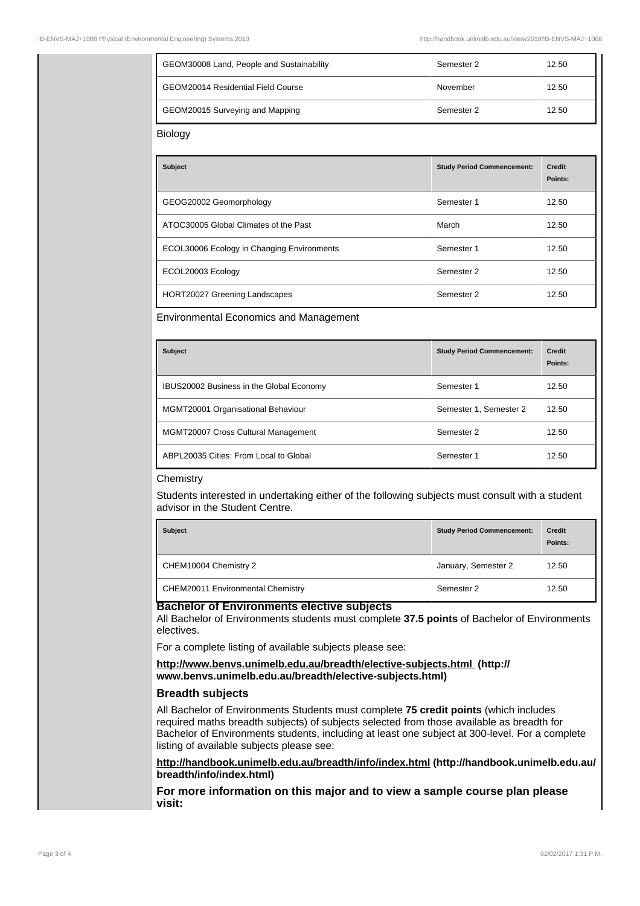| GEOM30008 Land, People and Sustainability | Semester 2 | 12.50 |
|-------------------------------------------|------------|-------|
| GEOM20014 Residential Field Course        | November   | 12.50 |
| GEOM20015 Surveying and Mapping           | Semester 2 | 12.50 |

Biology

| <b>Subject</b>                             | <b>Study Period Commencement:</b> | <b>Credit</b><br>Points: |
|--------------------------------------------|-----------------------------------|--------------------------|
| GEOG20002 Geomorphology                    | Semester 1                        | 12.50                    |
| ATOC30005 Global Climates of the Past      | March                             | 12.50                    |
| ECOL30006 Ecology in Changing Environments | Semester 1                        | 12.50                    |
| ECOL20003 Ecology                          | Semester 2                        | 12.50                    |
| HORT20027 Greening Landscapes              | Semester 2                        | 12.50                    |

#### Environmental Economics and Management

| <b>Subject</b>                                  | <b>Study Period Commencement:</b> | <b>Credit</b><br>Points: |
|-------------------------------------------------|-----------------------------------|--------------------------|
| <b>IBUS20002 Business in the Global Economy</b> | Semester 1                        | 12.50                    |
| MGMT20001 Organisational Behaviour              | Semester 1, Semester 2            | 12.50                    |
| <b>MGMT20007 Cross Cultural Management</b>      | Semester 2                        | 12.50                    |
| ABPL20035 Cities: From Local to Global          | Semester 1                        | 12.50                    |

#### **Chemistry**

Students interested in undertaking either of the following subjects must consult with a student advisor in the Student Centre.

| <b>Subject</b>                    | <b>Study Period Commencement:</b> | <b>Credit</b><br>Points: |
|-----------------------------------|-----------------------------------|--------------------------|
| CHEM10004 Chemistry 2             | January, Semester 2               | 12.50                    |
| CHEM20011 Environmental Chemistry | Semester 2                        | 12.50                    |

#### **Bachelor of Environments elective subjects**

All Bachelor of Environments students must complete **37.5 points** of Bachelor of Environments electives.

For a complete listing of available subjects please see:

**http://www.benvs.unimelb.edu.au/breadth/elective-subjects.html (http:// www.benvs.unimelb.edu.au/breadth/elective-subjects.html)**

### **Breadth subjects**

All Bachelor of Environments Students must complete **75 credit points** (which includes required maths breadth subjects) of subjects selected from those available as breadth for Bachelor of Environments students, including at least one subject at 300-level. For a complete listing of available subjects please see:

**http://handbook.unimelb.edu.au/breadth/info/index.html (http://handbook.unimelb.edu.au/ breadth/info/index.html)**

**For more information on this major and to view a sample course plan please visit:**